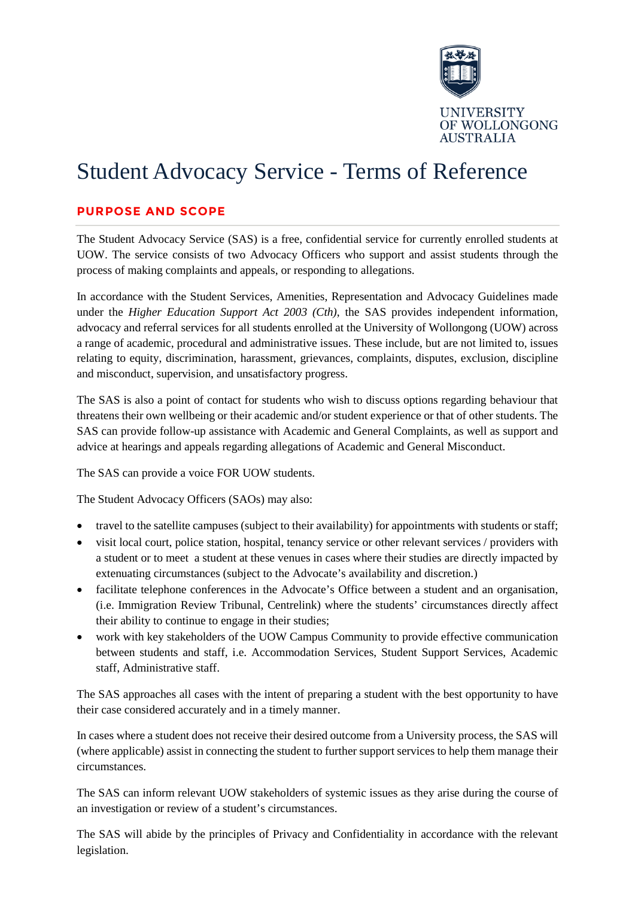

## Student Advocacy Service - Terms of Reference

## **PURPOSE AND SCOPE**

The Student Advocacy Service (SAS) is a free, confidential service for currently enrolled students at UOW. The service consists of two Advocacy Officers who support and assist students through the process of making complaints and appeals, or responding to allegations.

In accordance with the Student Services, Amenities, Representation and Advocacy Guidelines made under the *Higher Education Support Act 2003 (Cth)*, the SAS provides independent information, advocacy and referral services for all students enrolled at the University of Wollongong (UOW) across a range of academic, procedural and administrative issues. These include, but are not limited to, issues relating to equity, discrimination, harassment, grievances, complaints, disputes, exclusion, discipline and misconduct, supervision, and unsatisfactory progress.

The SAS is also a point of contact for students who wish to discuss options regarding behaviour that threatens their own wellbeing or their academic and/or student experience or that of other students. The SAS can provide follow-up assistance with Academic and General Complaints, as well as support and advice at hearings and appeals regarding allegations of Academic and General Misconduct.

The SAS can provide a voice FOR UOW students.

The Student Advocacy Officers (SAOs) may also:

- travel to the satellite campuses (subject to their availability) for appointments with students or staff;
- visit local court, police station, hospital, tenancy service or other relevant services / providers with a student or to meet a student at these venues in cases where their studies are directly impacted by extenuating circumstances (subject to the Advocate's availability and discretion.)
- facilitate telephone conferences in the Advocate's Office between a student and an organisation, (i.e. Immigration Review Tribunal, Centrelink) where the students' circumstances directly affect their ability to continue to engage in their studies;
- work with key stakeholders of the UOW Campus Community to provide effective communication between students and staff, i.e. Accommodation Services, Student Support Services, Academic staff, Administrative staff.

The SAS approaches all cases with the intent of preparing a student with the best opportunity to have their case considered accurately and in a timely manner.

In cases where a student does not receive their desired outcome from a University process, the SAS will (where applicable) assist in connecting the student to further support services to help them manage their circumstances.

The SAS can inform relevant UOW stakeholders of systemic issues as they arise during the course of an investigation or review of a student's circumstances.

The SAS will abide by the principles of Privacy and Confidentiality in accordance with the relevant legislation.